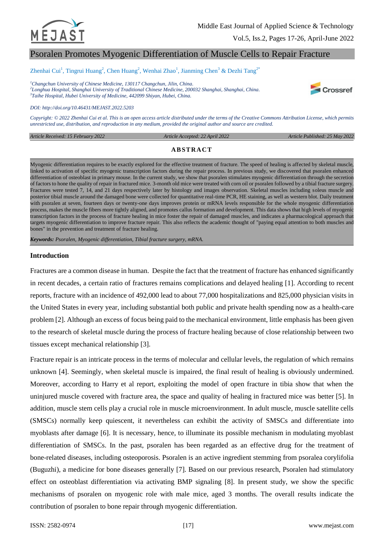

Vol.5, Iss.2, Pages 17-26, April-June 2022

# Psoralen Promotes Myogenic Differentiation of Muscle Cells to Repair Fracture

Zhenhai Cui<sup>1</sup>, Tingrui Huang<sup>2</sup>, Chen Huang<sup>2</sup>, Wenhai Zhao<sup>1</sup>, Jianming Chen<sup>3</sup> & Dezhi Tang<sup>2\*</sup>

*<sup>1</sup>Changchun University of Chinese Medicine, 130117 Changchun, Jilin, China. 2 Longhua Hospital, Shanghai University of Traditional Chinese Medicine, 200032 Shanghai, Shanghai, China. 3 Taihe Hospital, Hubei University of Medicine, 442099 Shiyan, Hubei, China.*



*DOI: http://doi.org/10.46431/MEJAST.2022.5203*

*Copyright: © 2022 Zhenhai Cui et al. This is an open access article distributed under the terms of th[e Creative Commons Attribution License,](https://creativecommons.org/licenses/by-sa/4.0/) which permits unrestricted use, distribution, and reproduction in any medium, provided the original author and source are credited.* 

*Article Received: 15 February 2022* 

 *Article Accepted: 22 April 2022 Article Published: 25 May 2022*

### **AB STRAC T**

Myogenic differentiation requires to be exactly explored for the effective treatment of fracture. The speed of healing is affected by skeletal muscle, linked to activation of specific myogenic transcription factors during the repair process. In previous study, we discovered that psoralen enhanced differentiation of osteoblast in primary mouse. In the current study, we show that psoralen stimulates myogenic differentiation through the secretion of factors to hone the quality of repair in fractured mice. 3-month old mice were treated with corn oil or psoralen followed by a tibial fracture surgery. Fractures were tested 7, 14, and 21 days respectively later by histology and images observation. Skeletal muscles including soleus muscle and posterior tibial muscle around the damaged bone were collected for quantitative real-time PCR, HE staining, as well as western blot. Daily treatment with psoralen at seven, fourteen days or twenty-one days improves protein or mRNA levels responsible for the whole myogenic differentiation process, makes the muscle fibers more tightly aligned, and promotes callus formation and development. This data shows that high levels of myogenic transcription factors in the process of fracture healing in mice foster the repair of damaged muscles, and indicates a pharmacological approach that targets myogenic differentiation to improve fracture repair. This also reflects the academic thought of "paying equal attention to both muscles and bones" in the prevention and treatment of fracture healing.

*Keywords: Psoralen, Myogenic differentiation, Tibial fracture surgery, mRNA.*

#### **Introduction**

Fractures are a common disease in human. Despite the fact that the treatment of fracture has enhanced significantly in recent decades, a certain ratio of fractures remains complications and delayed healing [1]. According to recent reports, fracture with an incidence of 492,000 lead to about 77,000 hospitalizations and 825,000 physician visits in the United States in every year, including substantial both public and private health spending now as a health-care problem [2]. Although an excess of focus being paid to the mechanical environment, little emphasis has been given to the research of skeletal muscle during the process of fracture healing because of close relationship between two tissues except mechanical relationship [3].

Fracture repair is an intricate process in the terms of molecular and cellular levels, the regulation of which remains unknown [4]. Seemingly, when skeletal muscle is impaired, the final result of healing is obviously undermined. Moreover, according to Harry et al report, exploiting the model of open fracture in tibia show that when the uninjured muscle covered with fracture area, the space and quality of healing in fractured mice was better [5]. In addition, muscle stem cells play a crucial role in muscle microenvironment. In adult muscle, muscle satellite cells (SMSCs) normally keep quiescent, it nevertheless can exhibit the activity of SMSCs and differentiate into myoblasts after damage [6]. It is necessary, hence, to illuminate its possible mechanism in modulating myoblast differentiation of SMSCs. In the past, psoralen has been regarded as an effective drug for the treatment of bone-related diseases, including osteoporosis. Psoralen is an active ingredient stemming from psoralea corylifolia (Buguzhi), a medicine for bone diseases generally [7]. Based on our previous research, Psoralen had stimulatory effect on osteoblast differentiation via activating BMP signaling [8]. In present study, we show the specific mechanisms of psoralen on myogenic role with male mice, aged 3 months. The overall results indicate the contribution of psoralen to bone repair through myogenic differentiation.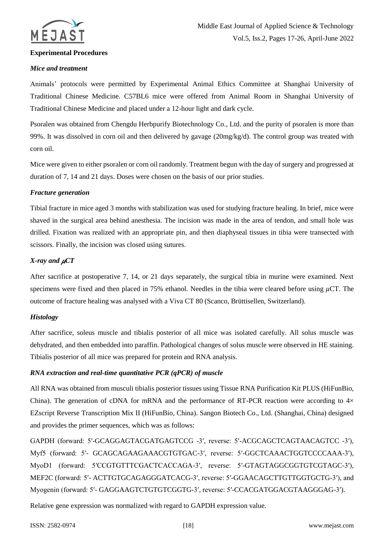

#### **Experimental Procedures**

# *Mice and treatment*

Animals' protocols were permitted by Experimental Animal Ethics Committee at Shanghai University of Traditional Chinese Medicine. C57BL6 mice were offered from Animal Room in Shanghai University of Traditional Chinese Medicine and placed under a 12-hour light and dark cycle.

Psoralen was obtained from Chengdu Herbpurify Biotechnology Co., Ltd. and the purity of psoralen is more than 99%. It was dissolved in corn oil and then delivered by gavage (20mg/kg/d). The control group was treated with corn oil.

Mice were given to either psoralen or corn oil randomly. Treatment begun with the day of surgery and progressed at duration of 7, 14 and 21 days. Doses were chosen on the basis of our prior studies.

#### *Fracture generation*

Tibial fracture in mice aged 3 months with stabilization was used for studying fracture healing. In brief, mice were shaved in the surgical area behind anesthesia. The incision was made in the area of tendon, and small hole was drilled. Fixation was realized with an appropriate pin, and then diaphyseal tissues in tibia were transected with scissors. Finally, the incision was closed using sutures.

# *X*-ray and  $\mu$ CT

After sacrifice at postoperative 7, 14, or 21 days separately, the surgical tibia in murine were examined. Next specimens were fixed and then placed in 75% ethanol. Needles in the tibia were cleared before using  $\mu$ CT. The outcome of fracture healing was analysed with a Viva CT 80 (Scanco, Brüttisellen, Switzerland).

#### *Histology*

After sacrifice, soleus muscle and tibialis posterior of all mice was isolated carefully. All solus muscle was dehydrated, and then embedded into paraffin. Pathological changes of solus muscle were observed in HE staining. Tibialis posterior of all mice was prepared for protein and RNA analysis.

# *RNA extraction and real-time quantitative PCR (qPCR) of muscle*

All RNA was obtained from musculi tibialis posterior tissues using Tissue RNA Purification Kit PLUS (HiFunBio, China). The generation of cDNA for mRNA and the performance of RT-PCR reaction were according to  $4\times$ EZscript Reverse Transcription Mix II (HiFunBio, China). Sangon Biotech Co., Ltd. (Shanghai, China) designed and provides the primer sequences, which was as follows:

GAPDH (forward: 5′-GCAGGAGTACGATGAGTCCG -3′, reverse: 5′-ACGCAGCTCAGTAACAGTCC -3′), Myf5 (forward: 5′- GCAGCAGAAGAAACGTGTGAC-3′, reverse: 5′-GGCTCAAACTGGTCCCCAAA-3′), MyoD1 (forward: 5′CCGTGTTTCGACTCACCAGA-3′, reverse: 5′-GTAGTAGGCGGTGTCGTAGC-3′), MEF2C (forward: 5′- ACTTGTGCAGAGGGATCACG-3′, reverse: 5′-GGAACAGCTTGTTGGTGCTG-3′), and Myogenin (forward: 5′- GAGGAAGTCTGTGTCGGTG-3′, reverse: 5′-CCACGATGGACGTAAGGGAG-3′).

Relative gene expression was normalized with regard to GAPDH expression value.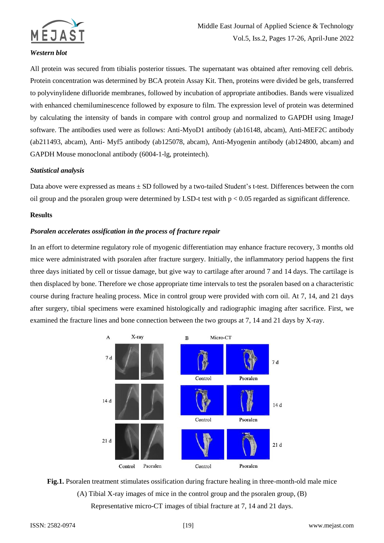

#### *Western blot*

All protein was secured from tibialis posterior tissues. The supernatant was obtained after removing cell debris. Protein concentration was determined by BCA protein Assay Kit. Then, proteins were divided be gels, transferred to polyvinylidene difluoride membranes, followed by incubation of appropriate antibodies. Bands were visualized with enhanced chemiluminescence followed by exposure to film. The expression level of protein was determined by calculating the intensity of bands in compare with control group and normalized to GAPDH using ImageJ software. The antibodies used were as follows: Anti-MyoD1 antibody (ab16148, abcam), Anti-MEF2C antibody (ab211493, abcam), Anti- Myf5 antibody (ab125078, abcam), Anti-Myogenin antibody (ab124800, abcam) and GAPDH Mouse monoclonal antibody (6004-1-lg, proteintech).

# *Statistical analysis*

Data above were expressed as means ± SD followed by a two-tailed Student's t-test. Differences between the corn oil group and the psoralen group were determined by LSD-t test with  $p < 0.05$  regarded as significant difference.

# **Results**

# *Psoralen accelerates ossification in the process of fracture repair*

In an effort to determine regulatory role of myogenic differentiation may enhance fracture recovery, 3 months old mice were administrated with psoralen after fracture surgery. Initially, the inflammatory period happens the first three days initiated by cell or tissue damage, but give way to cartilage after around 7 and 14 days. The cartilage is then displaced by bone. Therefore we chose appropriate time intervals to test the psoralen based on a characteristic course during fracture healing process. Mice in control group were provided with corn oil. At 7, 14, and 21 days after surgery, tibial specimens were examined histologically and radiographic imaging after sacrifice. First, we examined the fracture lines and bone connection between the two groups at 7, 14 and 21 days by X-ray.



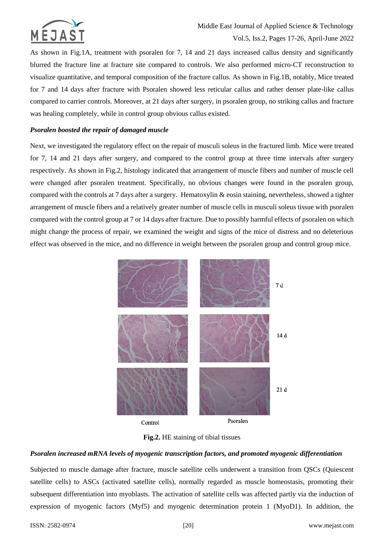

As shown in Fig.1A, treatment with psoralen for 7, 14 and 21 days increased callus density and significantly blurred the fracture line at fracture site compared to controls. We also performed micro-CT reconstruction to visualize quantitative, and temporal composition of the fracture callus. As shown in Fig.1B, notably, Mice treated for 7 and 14 days after fracture with Psoralen showed less reticular callus and rather denser plate-like callus compared to carrier controls. Moreover, at 21 days after surgery, in psoralen group, no striking callus and fracture was healing completely, while in control group obvious callus existed.

#### *Psoralen boosted the repair of damaged muscle*

Next, we investigated the regulatory effect on the repair of musculi soleus in the fractured limb. Mice were treated for 7, 14 and 21 days after surgery, and compared to the control group at three time intervals after surgery respectively. As shown in Fig.2, histology indicated that arrangement of muscle fibers and number of muscle cell were changed after psoralen treatment. Specifically, no obvious changes were found in the psoralen group, compared with the controls at 7 days after a surgery. Hematoxylin & eosin staining, nevertheless, showed a tighter arrangement of muscle fibers and a relatively greater number of muscle cells in musculi soleus tissue with psoralen compared with the control group at 7 or 14 days after fracture. Due to possibly harmful effects of psoralen on which might change the process of repair, we examined the weight and signs of the mice of distress and no deleterious effect was observed in the mice, and no difference in weight between the psoralen group and control group mice.



**Fig.2.** HE staining of tibial tissues

# *Psoralen increased mRNA levels of myogenic transcription factors, and promoted myogenic differentiation*

Subjected to muscle damage after fracture, muscle satellite cells underwent a transition from QSCs (Quiescent satellite cells) to ASCs (activated satellite cells), normally regarded as muscle homeostasis, promoting their subsequent differentiation into myoblasts. The activation of satellite cells was affected partly via the induction of expression of myogenic factors (Myf5) and myogenic determination protein 1 (MyoD1). In addition, the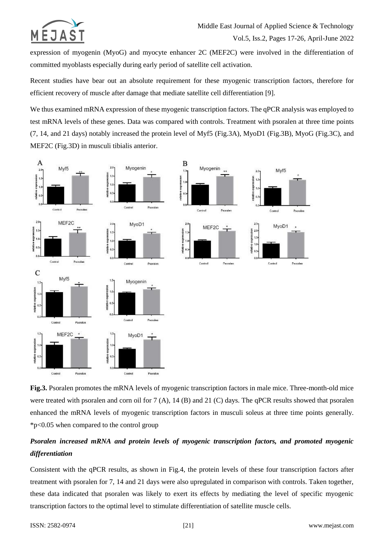

expression of myogenin (MyoG) and myocyte enhancer 2C (MEF2C) were involved in the differentiation of committed myoblasts especially during early period of satellite cell activation.

Recent studies have bear out an absolute requirement for these myogenic transcription factors, therefore for efficient recovery of muscle after damage that mediate satellite cell differentiation [9].

We thus examined mRNA expression of these myogenic transcription factors. The qPCR analysis was employed to test mRNA levels of these genes. Data was compared with controls. Treatment with psoralen at three time points (7, 14, and 21 days) notably increased the protein level of Myf5 (Fig.3A), MyoD1 (Fig.3B), MyoG (Fig.3C), and MEF2C (Fig.3D) in musculi tibialis anterior.



**Fig.3.** Psoralen promotes the mRNA levels of myogenic transcription factors in male mice. Three-month-old mice were treated with psoralen and corn oil for 7 (A), 14 (B) and 21 (C) days. The qPCR results showed that psoralen enhanced the mRNA levels of myogenic transcription factors in musculi soleus at three time points generally. \*p<0.05 when compared to the control group

# *Psoralen increased mRNA and protein levels of myogenic transcription factors, and promoted myogenic differentiation*

Consistent with the qPCR results, as shown in Fig.4, the protein levels of these four transcription factors after treatment with psoralen for 7, 14 and 21 days were also upregulated in comparison with controls. Taken together, these data indicated that psoralen was likely to exert its effects by mediating the level of specific myogenic transcription factors to the optimal level to stimulate differentiation of satellite muscle cells.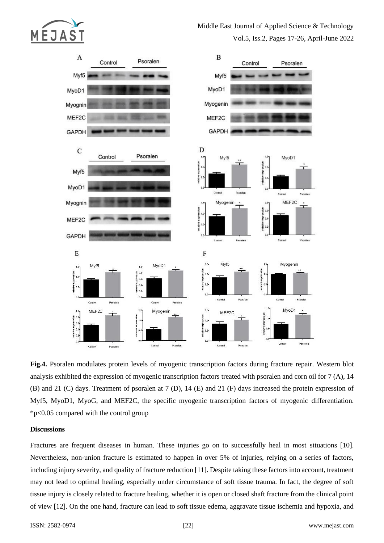

# Middle East Journal of Applied Science & Technology

Vol.5, Iss.2, Pages 17-26, April-June 2022



**Fig.4.** Psoralen modulates protein levels of myogenic transcription factors during fracture repair. Western blot analysis exhibited the expression of myogenic transcription factors treated with psoralen and corn oil for 7 (A), 14 (B) and 21 (C) days. Treatment of psoralen at 7 (D), 14 (E) and 21 (F) days increased the protein expression of Myf5, MyoD1, MyoG, and MEF2C, the specific myogenic transcription factors of myogenic differentiation. \*p<0.05 compared with the control group

#### **Discussions**

Fractures are frequent diseases in human. These injuries go on to successfully heal in most situations [10]. Nevertheless, non-union fracture is estimated to happen in over 5% of injuries, relying on a series of factors, including injury severity, and quality of fracture reduction [11]. Despite taking these factors into account, treatment may not lead to optimal healing, especially under circumstance of soft tissue trauma. In fact, the degree of soft tissue injury is closely related to fracture healing, whether it is open or closed shaft fracture from the clinical point of view [12]. On the one hand, fracture can lead to soft tissue edema, aggravate tissue ischemia and hypoxia, and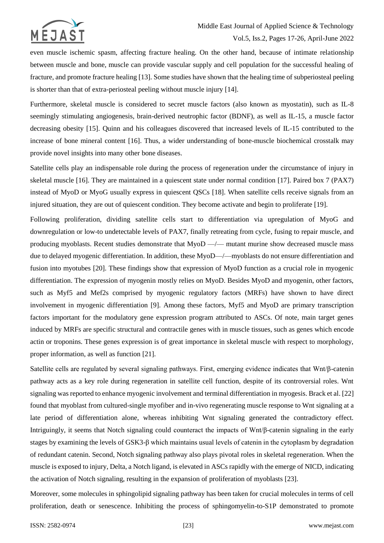

even muscle ischemic spasm, affecting fracture healing. On the other hand, because of intimate relationship between muscle and bone, muscle can provide vascular supply and cell population for the successful healing of fracture, and promote fracture healing [13]. Some studies have shown that the healing time of subperiosteal peeling is shorter than that of extra-periosteal peeling without muscle injury [14].

Furthermore, skeletal muscle is considered to secret muscle factors (also known as myostatin), such as IL-8 seemingly stimulating angiogenesis, brain-derived neutrophic factor (BDNF), as well as IL-15, a muscle factor decreasing obesity [15]. Quinn and his colleagues discovered that increased levels of IL-15 contributed to the increase of bone mineral content [16]. Thus, a wider understanding of bone-muscle biochemical crosstalk may provide novel insights into many other bone diseases.

Satellite cells play an indispensable role during the process of regeneration under the circumstance of injury in skeletal muscle [16]. They are maintained in a quiescent state under normal condition [17]. Paired box 7 (PAX7) instead of MyoD or MyoG usually express in quiescent QSCs [18]. When satellite cells receive signals from an injured situation, they are out of quiescent condition. They become activate and begin to proliferate [19].

Following proliferation, dividing satellite cells start to differentiation via upregulation of MyoG and downregulation or low-to undetectable levels of PAX7, finally retreating from cycle, fusing to repair muscle, and producing myoblasts. Recent studies demonstrate that  $Myop \sim$  — mutant murine show decreased muscle mass due to delayed myogenic differentiation. In addition, these MyoD—/—myoblasts do not ensure differentiation and fusion into myotubes [20]. These findings show that expression of MyoD function as a crucial role in myogenic differentiation. The expression of myogenin mostly relies on MyoD. Besides MyoD and myogenin, other factors, such as Myf5 and Mef2s comprised by myogenic regulatory factors (MRFs) have shown to have direct involvement in myogenic differentiation [9]. Among these factors, Myf5 and MyoD are primary transcription factors important for the modulatory gene expression program attributed to ASCs. Of note, main target genes induced by MRFs are specific structural and contractile genes with in muscle tissues, such as genes which encode actin or troponins. These genes expression is of great importance in skeletal muscle with respect to morphology, proper information, as well as function [21].

Satellite cells are regulated by several signaling pathways. First, emerging evidence indicates that Wnt/β-catenin pathway acts as a key role during regeneration in satellite cell function, despite of its controversial roles. Wnt signaling was reported to enhance myogenic involvement and terminal differentiation in myogesis. Brack et al. [22] found that myoblast from cultured-single myofiber and in-vivo regenerating muscle response to Wnt signaling at a late period of differentiation alone, whereas inhibiting Wnt signaling generated the contradictory effect. Intriguingly, it seems that Notch signaling could counteract the impacts of Wnt/β-catenin signaling in the early stages by examining the levels of GSK3-β which maintains usual levels of catenin in the cytoplasm by degradation of redundant catenin. Second, Notch signaling pathway also plays pivotal roles in skeletal regeneration. When the muscle is exposed to injury, Delta, a Notch ligand, is elevated in ASCs rapidly with the emerge of NICD, indicating the activation of Notch signaling, resulting in the expansion of proliferation of myoblasts [23].

Moreover, some molecules in sphingolipid signaling pathway has been taken for crucial molecules in terms of cell proliferation, death or senescence. Inhibiting the process of sphingomyelin-to-S1P demonstrated to promote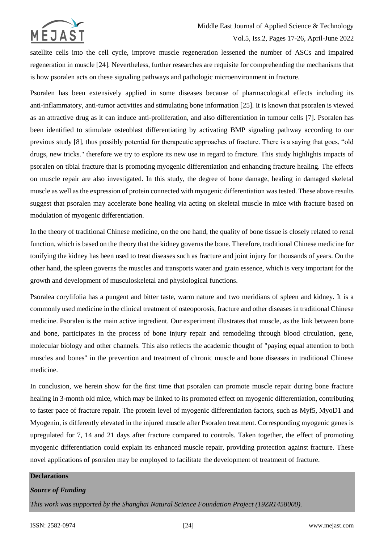

satellite cells into the cell cycle, improve muscle regeneration lessened the number of ASCs and impaired regeneration in muscle [24]. Nevertheless, further researches are requisite for comprehending the mechanisms that is how psoralen acts on these signaling pathways and pathologic microenvironment in fracture.

Psoralen has been extensively applied in some diseases because of pharmacological effects including its anti-inflammatory, anti-tumor activities and stimulating bone information [25]. It is known that psoralen is viewed as an attractive drug as it can induce anti-proliferation, and also differentiation in tumour cells [7]. Psoralen has been identified to stimulate osteoblast differentiating by activating BMP signaling pathway according to our previous study [8], thus possibly potential for therapeutic approaches of fracture. There is a saying that goes, "old drugs, new tricks." therefore we try to explore its new use in regard to fracture. This study highlights impacts of psoralen on tibial fracture that is promoting myogenic differentiation and enhancing fracture healing. The effects on muscle repair are also investigated. In this study, the degree of bone damage, healing in damaged skeletal muscle as well as the expression of protein connected with myogenic differentiation was tested. These above results suggest that psoralen may accelerate bone healing via acting on skeletal muscle in mice with fracture based on modulation of myogenic differentiation.

In the theory of traditional Chinese medicine, on the one hand, the quality of bone tissue is closely related to renal function, which is based on the theory that the kidney governs the bone. Therefore, traditional Chinese medicine for tonifying the kidney has been used to treat diseases such as fracture and joint injury for thousands of years. On the other hand, the spleen governs the muscles and transports water and grain essence, which is very important for the growth and development of musculoskeletal and physiological functions.

Psoralea corylifolia has a pungent and bitter taste, warm nature and two meridians of spleen and kidney. It is a commonly used medicine in the clinical treatment of osteoporosis, fracture and other diseases in traditional Chinese medicine. Psoralen is the main active ingredient. Our experiment illustrates that muscle, as the link between bone and bone, participates in the process of bone injury repair and remodeling through blood circulation, gene, molecular biology and other channels. This also reflects the academic thought of "paying equal attention to both muscles and bones" in the prevention and treatment of chronic muscle and bone diseases in traditional Chinese medicine.

In conclusion, we herein show for the first time that psoralen can promote muscle repair during bone fracture healing in 3-month old mice, which may be linked to its promoted effect on myogenic differentiation, contributing to faster pace of fracture repair. The protein level of myogenic differentiation factors, such as Myf5, MyoD1 and Myogenin, is differently elevated in the injured muscle after Psoralen treatment. Corresponding myogenic genes is upregulated for 7, 14 and 21 days after fracture compared to controls. Taken together, the effect of promoting myogenic differentiation could explain its enhanced muscle repair, providing protection against fracture. These novel applications of psoralen may be employed to facilitate the development of treatment of fracture.

#### **Declarations**

### *Source of Funding*

*This work was supported by the Shanghai Natural Science Foundation Project (19ZR1458000).*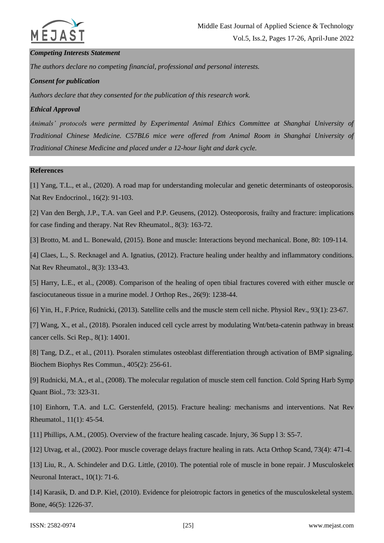

#### *Competing Interests Statement*

*The authors declare no competing financial, professional and personal interests.*

#### *Consent for publication*

*Authors declare that they consented for the publication of this research work.* 

#### *Ethical Approval*

*Animals' protocols were permitted by Experimental Animal Ethics Committee at Shanghai University of Traditional Chinese Medicine. C57BL6 mice were offered from Animal Room in Shanghai University of Traditional Chinese Medicine and placed under a 12-hour light and dark cycle.*

#### **References**

[1] Yang, T.L., et al., (2020). A road map for understanding molecular and genetic determinants of osteoporosis. Nat Rev Endocrinol., 16(2): 91-103.

[2] Van den Bergh, J.P., T.A. van Geel and P.P. Geusens, (2012). Osteoporosis, frailty and fracture: implications for case finding and therapy. Nat Rev Rheumatol., 8(3): 163-72.

[3] Brotto, M. and L. Bonewald, (2015). Bone and muscle: Interactions beyond mechanical. Bone, 80: 109-114.

[4] Claes, L., S. Recknagel and A. Ignatius, (2012). Fracture healing under healthy and inflammatory conditions. Nat Rev Rheumatol., 8(3): 133-43.

[5] Harry, L.E., et al., (2008). Comparison of the healing of open tibial fractures covered with either muscle or fasciocutaneous tissue in a murine model. J Orthop Res., 26(9): 1238-44.

[6] Yin, H., F.Price, Rudnicki, (2013). Satellite cells and the muscle stem cell niche. Physiol Rev., 93(1): 23-67.

[7] Wang, X., et al., (2018). Psoralen induced cell cycle arrest by modulating Wnt/beta-catenin pathway in breast cancer cells. Sci Rep., 8(1): 14001.

[8] Tang, D.Z., et al., (2011). Psoralen stimulates osteoblast differentiation through activation of BMP signaling. Biochem Biophys Res Commun., 405(2): 256-61.

[9] Rudnicki, M.A., et al., (2008). The molecular regulation of muscle stem cell function. Cold Spring Harb Symp Quant Biol., 73: 323-31.

[10] Einhorn, T.A. and L.C. Gerstenfeld, (2015). Fracture healing: mechanisms and interventions. Nat Rev Rheumatol., 11(1): 45-54.

[11] Phillips, A.M., (2005). Overview of the fracture healing cascade. Injury, 36 Supp l 3: S5-7.

[12] Utvag, et al., (2002). Poor muscle coverage delays fracture healing in rats. Acta Orthop Scand, 73(4): 471-4.

[13] Liu, R., A. Schindeler and D.G. Little, (2010). The potential role of muscle in bone repair. J Musculoskelet Neuronal Interact., 10(1): 71-6.

[14] Karasik, D. and D.P. Kiel, (2010). Evidence for pleiotropic factors in genetics of the musculoskeletal system. Bone, 46(5): 1226-37.